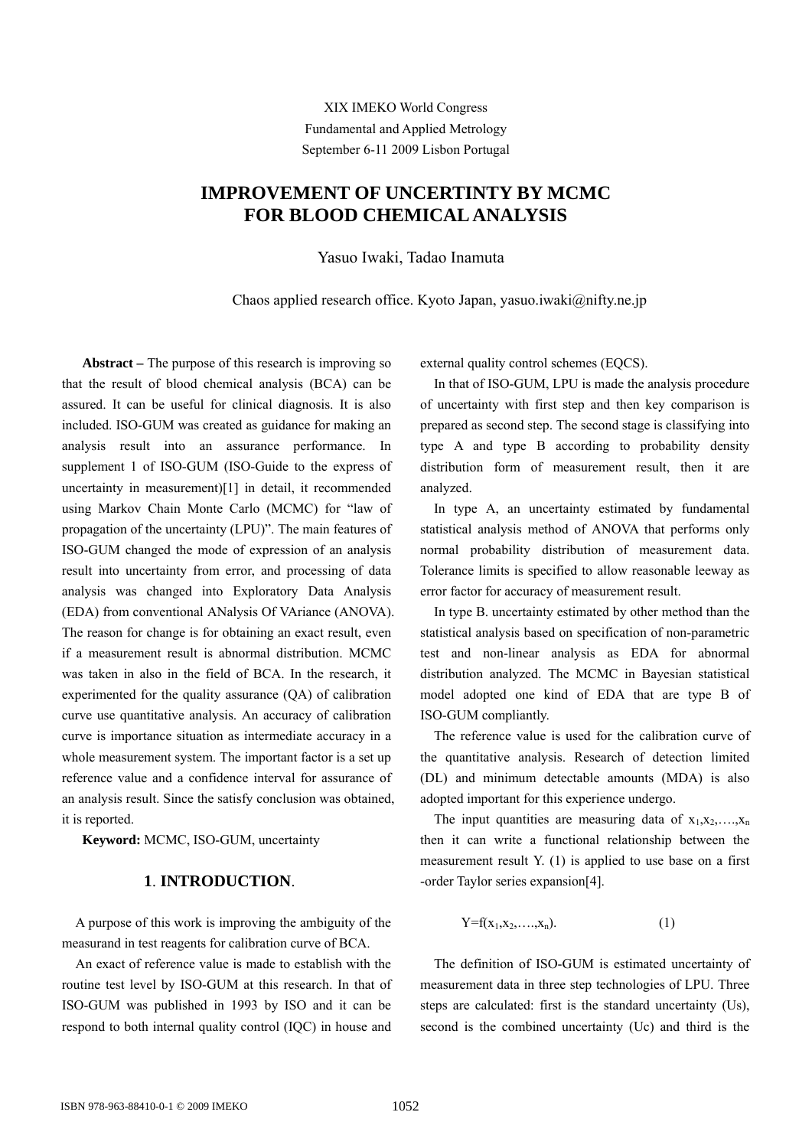XIX IMEKO World Congress Fundamental and Applied Metrology September 6-11 2009 Lisbon Portugal

# **IMPROVEMENT OF UNCERTINTY BY MCMC FOR BLOOD CHEMICAL ANALYSIS**

Yasuo Iwaki, Tadao Inamuta

Chaos applied research office. Kyoto Japan, yasuo.iwaki@nifty.ne.jp

**Abstract –** The purpose of this research is improving so that the result of blood chemical analysis (BCA) can be assured. It can be useful for clinical diagnosis. It is also included. ISO-GUM was created as guidance for making an analysis result into an assurance performance. In supplement 1 of ISO-GUM (ISO-Guide to the express of uncertainty in measurement)[1] in detail, it recommended using Markov Chain Monte Carlo (MCMC) for "law of propagation of the uncertainty (LPU)". The main features of ISO-GUM changed the mode of expression of an analysis result into uncertainty from error, and processing of data analysis was changed into Exploratory Data Analysis (EDA) from conventional ANalysis Of VAriance (ANOVA). The reason for change is for obtaining an exact result, even if a measurement result is abnormal distribution. MCMC was taken in also in the field of BCA. In the research, it experimented for the quality assurance (QA) of calibration curve use quantitative analysis. An accuracy of calibration curve is importance situation as intermediate accuracy in a whole measurement system. The important factor is a set up reference value and a confidence interval for assurance of an analysis result. Since the satisfy conclusion was obtained, it is reported.

**Keyword:** MCMC, ISO-GUM, uncertainty

# **1**. **INTRODUCTION**.

A purpose of this work is improving the ambiguity of the measurand in test reagents for calibration curve of BCA.

An exact of reference value is made to establish with the routine test level by ISO-GUM at this research. In that of ISO-GUM was published in 1993 by ISO and it can be respond to both internal quality control (IQC) in house and

external quality control schemes (EQCS).

In that of ISO-GUM, LPU is made the analysis procedure of uncertainty with first step and then key comparison is prepared as second step. The second stage is classifying into type A and type B according to probability density distribution form of measurement result, then it are analyzed.

In type A, an uncertainty estimated by fundamental statistical analysis method of ANOVA that performs only normal probability distribution of measurement data. Tolerance limits is specified to allow reasonable leeway as error factor for accuracy of measurement result.

In type B. uncertainty estimated by other method than the statistical analysis based on specification of non-parametric test and non-linear analysis as EDA for abnormal distribution analyzed. The MCMC in Bayesian statistical model adopted one kind of EDA that are type B of ISO-GUM compliantly.

The reference value is used for the calibration curve of the quantitative analysis. Research of detection limited (DL) and minimum detectable amounts (MDA) is also adopted important for this experience undergo.

The input quantities are measuring data of  $x_1, x_2, \ldots, x_n$ then it can write a functional relationship between the measurement result Y. (1) is applied to use base on a first -order Taylor series expansion[4].

$$
Y = f(x_1, x_2, \dots, x_n). \tag{1}
$$

The definition of ISO-GUM is estimated uncertainty of measurement data in three step technologies of LPU. Three steps are calculated: first is the standard uncertainty (Us), second is the combined uncertainty (Uc) and third is the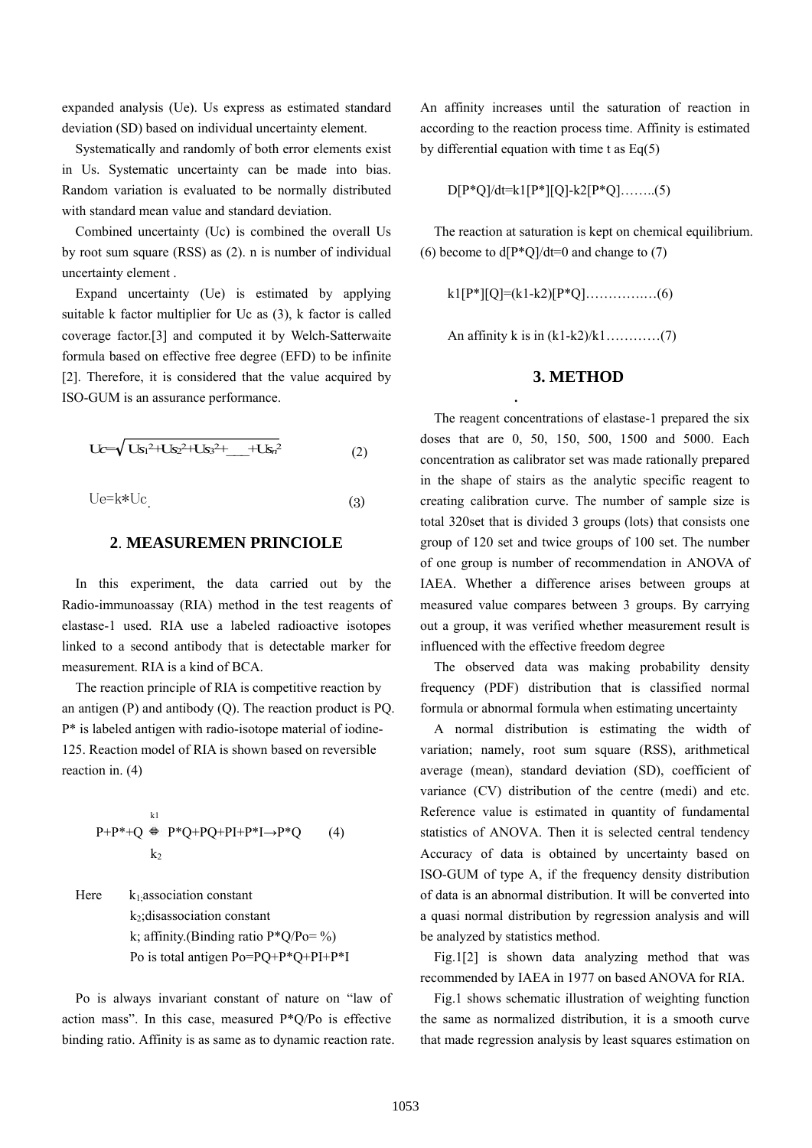expanded analysis (Ue). Us express as estimated standard deviation (SD) based on individual uncertainty element.

Systematically and randomly of both error elements exist in Us. Systematic uncertainty can be made into bias. Random variation is evaluated to be normally distributed with standard mean value and standard deviation.

Combined uncertainty (Uc) is combined the overall Us by root sum square (RSS) as (2). n is number of individual uncertainty element .

Expand uncertainty (Ue) is estimated by applying suitable k factor multiplier for Uc as (3), k factor is called coverage factor.[3] and computed it by Welch-Satterwaite formula based on effective free degree (EFD) to be infinite [2]. Therefore, it is considered that the value acquired by ISO-GUM is an assurance performance.

$$
Uc = \sqrt{Us_1^2 + Us_2^2 + Us_3^2 + \dots + Us_n^2}
$$
 (2)

 $Ue= k*Uc$ . (3)

### **2**. **MEASUREMEN PRINCIOLE**

In this experiment, the data carried out by the Radio-immunoassay (RIA) method in the test reagents of elastase-1 used. RIA use a labeled radioactive isotopes linked to a second antibody that is detectable marker for measurement. RIA is a kind of BCA.

The reaction principle of RIA is competitive reaction by an antigen (P) and antibody (Q). The reaction product is PQ. P\* is labeled antigen with radio-isotope material of iodine-125. Reaction model of RIA is shown based on reversible reaction in. (4)

$$
P+P^*+Q \stackrel{k1}{\Leftrightarrow} P^*Q+PQ+P I+P^*I \rightarrow P^*Q \qquad (4)
$$
  

$$
k_2
$$

Here  $k_1$  association constant k2;disassociation constant k; affinity.(Binding ratio  $P^*Q/P_0 = %$ ) Po is total antigen Po=PQ+P\*Q+PI+P\*I

Po is always invariant constant of nature on "law of action mass". In this case, measured P\*Q/Po is effective binding ratio. Affinity is as same as to dynamic reaction rate. An affinity increases until the saturation of reaction in according to the reaction process time. Affinity is estimated by differential equation with time t as  $Eq(5)$ 

D[P\*Q]/dt=k1[P\*][Q]-k2[P\*Q]……..(5)

The reaction at saturation is kept on chemical equilibrium. (6) become to  $d[P^*O]/dt=0$  and change to (7)

k1[P\*][Q]=(k1-k2)[P\*Q]………….…(6)

An affinity k is in  $(k1-k2)/k1$ …………(7)

**.**

## **3. METHOD**

The reagent concentrations of elastase-1 prepared the six doses that are 0, 50, 150, 500, 1500 and 5000. Each concentration as calibrator set was made rationally prepared in the shape of stairs as the analytic specific reagent to creating calibration curve. The number of sample size is total 320set that is divided 3 groups (lots) that consists one group of 120 set and twice groups of 100 set. The number of one group is number of recommendation in ANOVA of IAEA. Whether a difference arises between groups at measured value compares between 3 groups. By carrying out a group, it was verified whether measurement result is influenced with the effective freedom degree

The observed data was making probability density frequency (PDF) distribution that is classified normal formula or abnormal formula when estimating uncertainty

A normal distribution is estimating the width of variation; namely, root sum square (RSS), arithmetical average (mean), standard deviation (SD), coefficient of variance (CV) distribution of the centre (medi) and etc. Reference value is estimated in quantity of fundamental statistics of ANOVA. Then it is selected central tendency Accuracy of data is obtained by uncertainty based on ISO-GUM of type A, if the frequency density distribution of data is an abnormal distribution. It will be converted into a quasi normal distribution by regression analysis and will be analyzed by statistics method.

Fig.1[2] is shown data analyzing method that was recommended by IAEA in 1977 on based ANOVA for RIA.

Fig.1 shows schematic illustration of weighting function the same as normalized distribution, it is a smooth curve that made regression analysis by least squares estimation on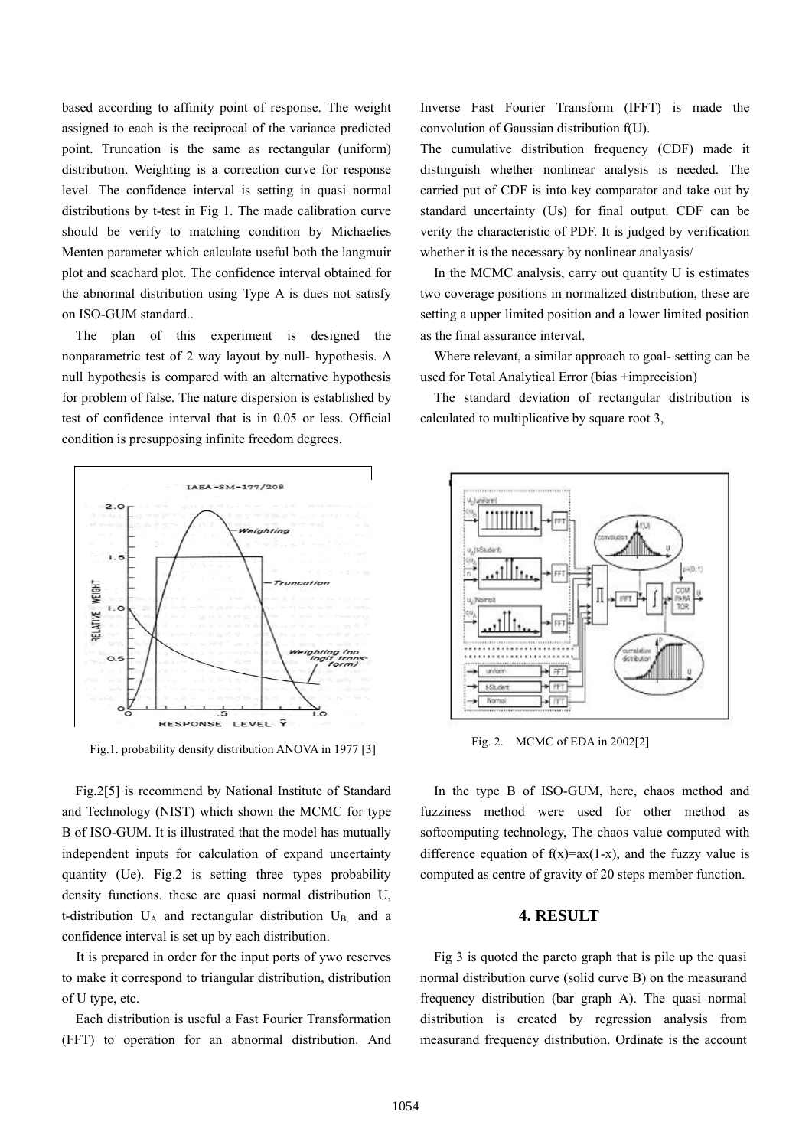based according to affinity point of response. The weight assigned to each is the reciprocal of the variance predicted point. Truncation is the same as rectangular (uniform) distribution. Weighting is a correction curve for response level. The confidence interval is setting in quasi normal distributions by t-test in Fig 1. The made calibration curve should be verify to matching condition by Michaelies Menten parameter which calculate useful both the langmuir plot and scachard plot. The confidence interval obtained for the abnormal distribution using Type A is dues not satisfy on ISO-GUM standard..

The plan of this experiment is designed the nonparametric test of 2 way layout by null- hypothesis. A null hypothesis is compared with an alternative hypothesis for problem of false. The nature dispersion is established by test of confidence interval that is in 0.05 or less. Official condition is presupposing infinite freedom degrees.



Fig.1. probability density distribution ANOVA in 1977 [3]

Fig.2[5] is recommend by National Institute of Standard and Technology (NIST) which shown the MCMC for type B of ISO-GUM. It is illustrated that the model has mutually independent inputs for calculation of expand uncertainty quantity (Ue). Fig.2 is setting three types probability density functions. these are quasi normal distribution U, t-distribution  $U_A$  and rectangular distribution  $U_{B}$ , and a confidence interval is set up by each distribution.

It is prepared in order for the input ports of ywo reserves to make it correspond to triangular distribution, distribution of U type, etc.

Each distribution is useful a Fast Fourier Transformation (FFT) to operation for an abnormal distribution. And Inverse Fast Fourier Transform (IFFT) is made the convolution of Gaussian distribution f(U).

The cumulative distribution frequency (CDF) made it distinguish whether nonlinear analysis is needed. The carried put of CDF is into key comparator and take out by standard uncertainty (Us) for final output. CDF can be verity the characteristic of PDF. It is judged by verification whether it is the necessary by nonlinear analyasis/

In the MCMC analysis, carry out quantity U is estimates two coverage positions in normalized distribution, these are setting a upper limited position and a lower limited position as the final assurance interval.

Where relevant, a similar approach to goal- setting can be used for Total Analytical Error (bias +imprecision)

The standard deviation of rectangular distribution is calculated to multiplicative by square root 3,



Fig. 2. MCMC of EDA in 2002[2]

In the type B of ISO-GUM, here, chaos method and fuzziness method were used for other method as softcomputing technology, The chaos value computed with difference equation of  $f(x)=ax(1-x)$ , and the fuzzy value is computed as centre of gravity of 20 steps member function.

## **4. RESULT**

Fig 3 is quoted the pareto graph that is pile up the quasi normal distribution curve (solid curve B) on the measurand frequency distribution (bar graph A). The quasi normal distribution is created by regression analysis from measurand frequency distribution. Ordinate is the account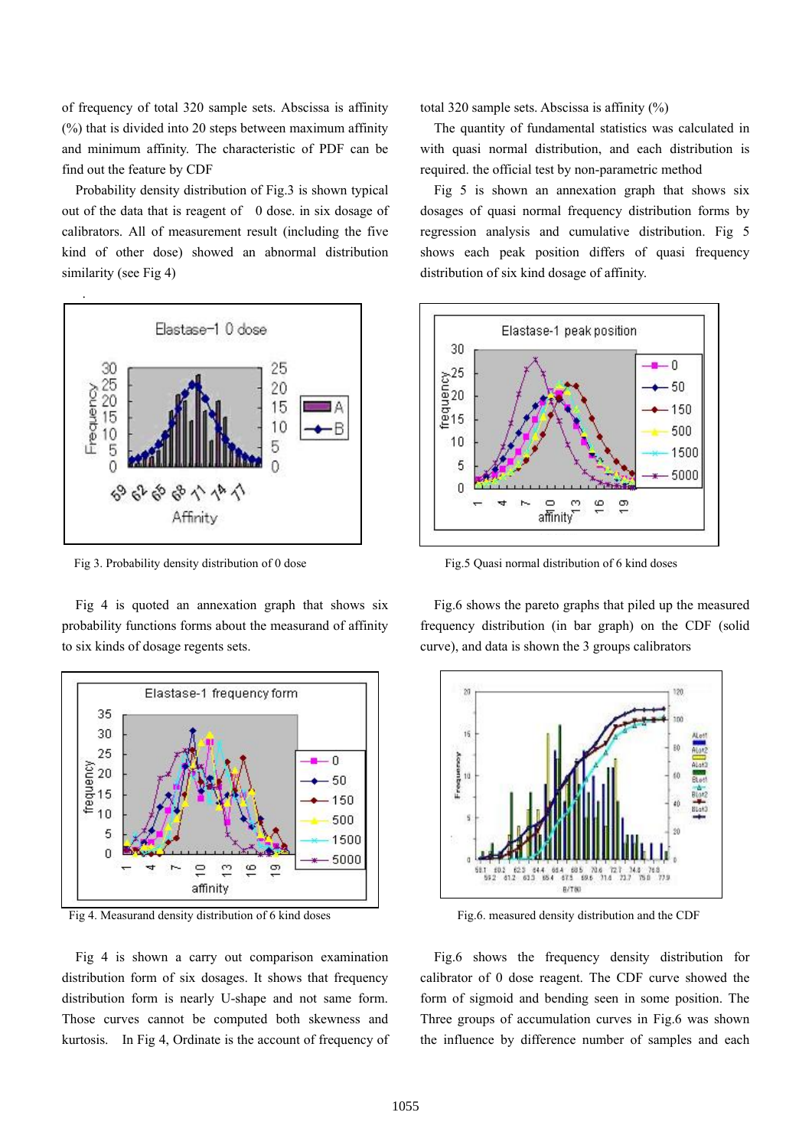of frequency of total 320 sample sets. Abscissa is affinity (%) that is divided into 20 steps between maximum affinity and minimum affinity. The characteristic of PDF can be find out the feature by CDF

Probability density distribution of Fig.3 is shown typical out of the data that is reagent of 0 dose. in six dosage of calibrators. All of measurement result (including the five kind of other dose) showed an abnormal distribution similarity (see Fig 4)



Fig 3. Probability density distribution of 0 dose

Fig 4 is quoted an annexation graph that shows six probability functions forms about the measurand of affinity to six kinds of dosage regents sets.



Fig 4. Measurand density distribution of 6 kind doses

Fig 4 is shown a carry out comparison examination distribution form of six dosages. It shows that frequency distribution form is nearly U-shape and not same form. Those curves cannot be computed both skewness and kurtosis. In Fig 4, Ordinate is the account of frequency of total 320 sample sets. Abscissa is affinity (%)

The quantity of fundamental statistics was calculated in with quasi normal distribution, and each distribution is required. the official test by non-parametric method

Fig 5 is shown an annexation graph that shows six dosages of quasi normal frequency distribution forms by regression analysis and cumulative distribution. Fig 5 shows each peak position differs of quasi frequency distribution of six kind dosage of affinity.



Fig.5 Quasi normal distribution of 6 kind doses

Fig.6 shows the pareto graphs that piled up the measured frequency distribution (in bar graph) on the CDF (solid curve), and data is shown the 3 groups calibrators



Fig.6. measured density distribution and the CDF

Fig.6 shows the frequency density distribution for calibrator of 0 dose reagent. The CDF curve showed the form of sigmoid and bending seen in some position. The Three groups of accumulation curves in Fig.6 was shown the influence by difference number of samples and each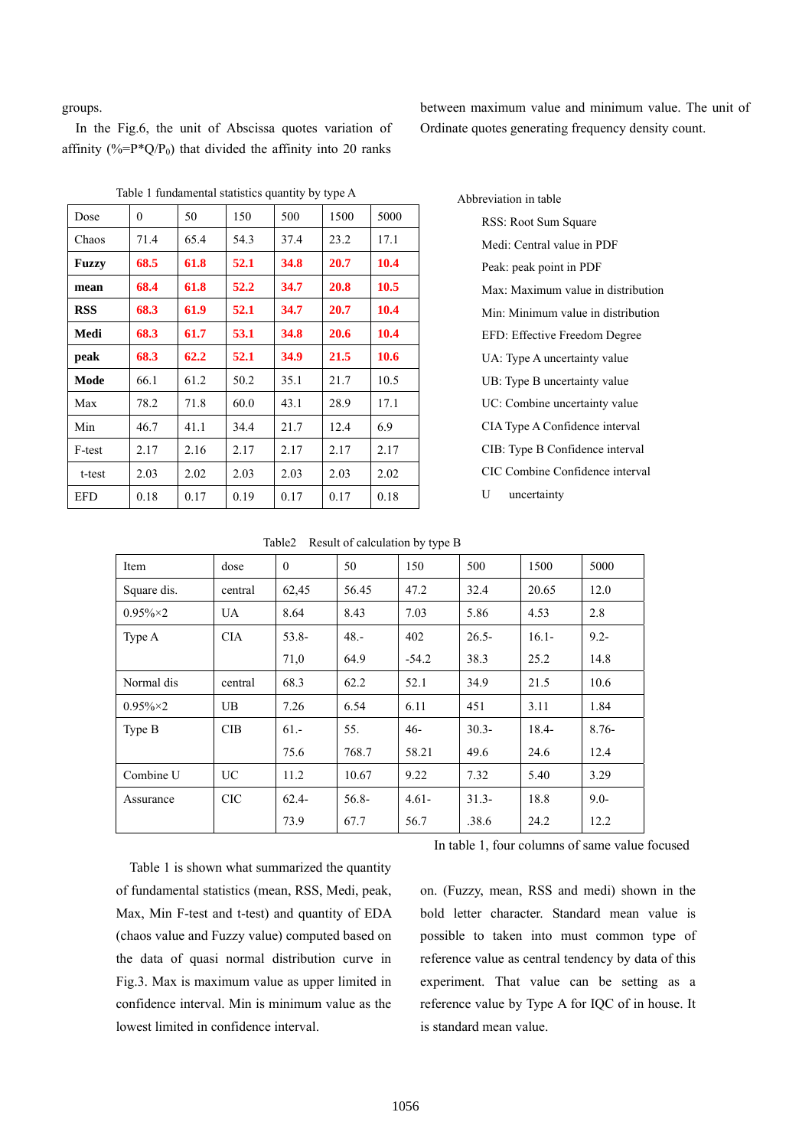groups.

In the Fig.6, the unit of Abscissa quotes variation of affinity (%= $P^*Q/P_0$ ) that divided the affinity into 20 ranks

between maximum value and minimum value. The unit of Ordinate quotes generating frequency density count.

| Dose       | $\theta$ | 50   | 150  | 500  | 1500 |      |
|------------|----------|------|------|------|------|------|
| Chaos      | 71.4     | 65.4 | 54.3 | 37.4 | 23.2 | 17.1 |
| Fuzzy      | 68.5     | 61.8 | 52.1 | 34.8 | 20.7 | 10.4 |
| mean       | 68.4     | 61.8 | 52.2 | 34.7 | 20.8 | 10.5 |
| <b>RSS</b> | 68.3     | 61.9 | 52.1 | 34.7 | 20.7 | 10.4 |
| Medi       | 68.3     | 61.7 | 53.1 | 34.8 | 20.6 | 10.4 |
| peak       | 68.3     | 62.2 | 52.1 | 34.9 | 21.5 | 10.6 |
| Mode       | 66.1     | 61.2 | 50.2 | 35.1 | 21.7 | 10.5 |
| Max        | 78.2     | 71.8 | 60.0 | 43.1 | 28.9 | 17.1 |
| Min        | 46.7     | 41.1 | 34.4 | 21.7 | 12.4 | 6.9  |
| F-test     | 2.17     | 2.16 | 2.17 | 2.17 | 2.17 | 2.17 |
| t-test     | 2.03     | 2.02 | 2.03 | 2.03 | 2.03 | 2.02 |
| <b>EFD</b> | 0.18     | 0.17 | 0.19 | 0.17 | 0.17 | 0.18 |
|            |          |      |      |      |      |      |

Table 1 fundamental statistics quantity by type A

Abbreviation in table RSS: Root Sum Square Medi: Central value in PDF Peak: peak point in PDF Max: Maximum value in distribution Min: Minimum value in distribution EFD: Effective Freedom Degree UA: Type A uncertainty value UB: Type B uncertainty value UC: Combine uncertainty value CIA Type A Confidence interval CIB: Type B Confidence interval CIC Combine Confidence interval

U uncertainty

| Table2 | Result of calculation by type B |
|--------|---------------------------------|
|        |                                 |

| Item              | dose       | $\theta$ | 50       | 150      | 500      | 1500     | 5000    |
|-------------------|------------|----------|----------|----------|----------|----------|---------|
| Square dis.       | central    | 62,45    | 56.45    | 47.2     | 32.4     | 20.65    | 12.0    |
| $0.95\% \times 2$ | <b>UA</b>  | 8.64     | 8.43     | 7.03     | 5.86     | 4.53     | 2.8     |
| Type A            | <b>CIA</b> | $53.8 -$ | $48. -$  | 402      | $26.5 -$ | $16.1 -$ | $9.2 -$ |
|                   |            | 71,0     | 64.9     | $-54.2$  | 38.3     | 25.2     | 14.8    |
| Normal dis        | central    | 68.3     | 62.2     | 52.1     | 34.9     | 21.5     | 10.6    |
| $0.95\% \times 2$ | UB         | 7.26     | 6.54     | 6.11     | 451      | 3.11     | 1.84    |
| Type B            | CIB        | $61 -$   | 55.      | $46-$    | $30.3 -$ | $18.4 -$ | $8.76-$ |
|                   |            | 75.6     | 768.7    | 58.21    | 49.6     | 24.6     | 12.4    |
| Combine U         | <b>UC</b>  | 11.2     | 10.67    | 9.22     | 7.32     | 5.40     | 3.29    |
| Assurance         | <b>CIC</b> | $62.4-$  | $56.8 -$ | $4.61 -$ | $31.3-$  | 18.8     | $9.0 -$ |
|                   |            | 73.9     | 67.7     | 56.7     | .38.6    | 24.2     | 12.2    |

In table 1, four columns of same value focused

Table 1 is shown what summarized the quantity of fundamental statistics (mean, RSS, Medi, peak, Max, Min F-test and t-test) and quantity of EDA (chaos value and Fuzzy value) computed based on the data of quasi normal distribution curve in Fig.3. Max is maximum value as upper limited in confidence interval. Min is minimum value as the lowest limited in confidence interval.

on. (Fuzzy, mean, RSS and medi) shown in the bold letter character. Standard mean value is possible to taken into must common type of reference value as central tendency by data of this experiment. That value can be setting as a reference value by Type A for IQC of in house. It is standard mean value.